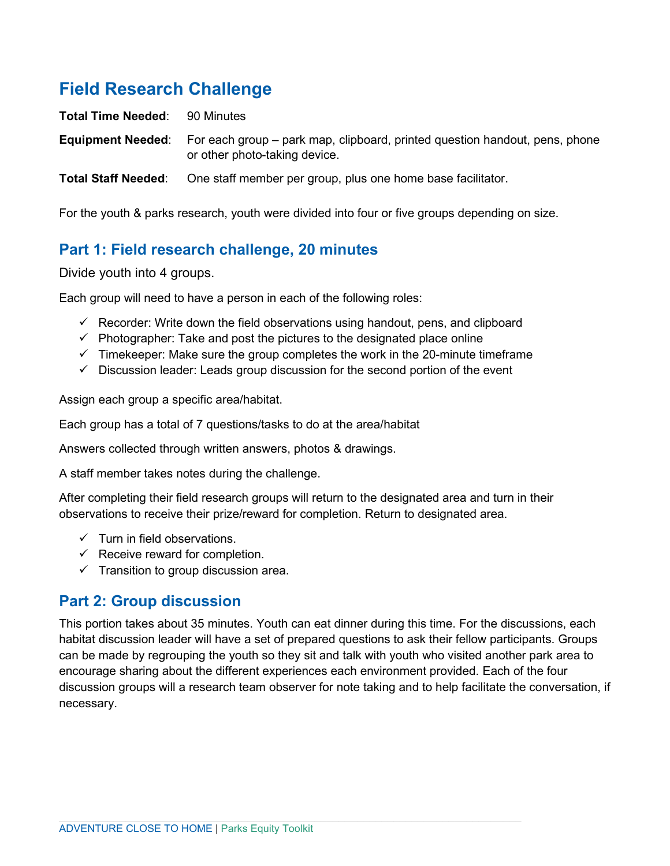# **Field Research Challenge**

**Total Time Needed: 90 Minutes Equipment Needed**: For each group – park map, clipboard, printed question handout, pens, phone or other photo-taking device.

**Total Staff Needed**: One staff member per group, plus one home base facilitator.

For the youth & parks research, youth were divided into four or five groups depending on size.

### **Part 1: Field research challenge, 20 minutes**

Divide youth into 4 groups.

Each group will need to have a person in each of the following roles:

- $\checkmark$  Recorder: Write down the field observations using handout, pens, and clipboard
- $\checkmark$  Photographer: Take and post the pictures to the designated place online
- $\checkmark$  Timekeeper: Make sure the group completes the work in the 20-minute timeframe
- $\checkmark$  Discussion leader: Leads group discussion for the second portion of the event

Assign each group a specific area/habitat.

Each group has a total of 7 questions/tasks to do at the area/habitat

Answers collected through written answers, photos & drawings.

A staff member takes notes during the challenge.

After completing their field research groups will return to the designated area and turn in their observations to receive their prize/reward for completion. Return to designated area.

- $\checkmark$  Turn in field observations.
- $\checkmark$  Receive reward for completion.
- $\checkmark$  Transition to group discussion area.

#### **Part 2: Group discussion**

This portion takes about 35 minutes. Youth can eat dinner during this time. For the discussions, each habitat discussion leader will have a set of prepared questions to ask their fellow participants. Groups can be made by regrouping the youth so they sit and talk with youth who visited another park area to encourage sharing about the different experiences each environment provided. Each of the four discussion groups will a research team observer for note taking and to help facilitate the conversation, if necessary.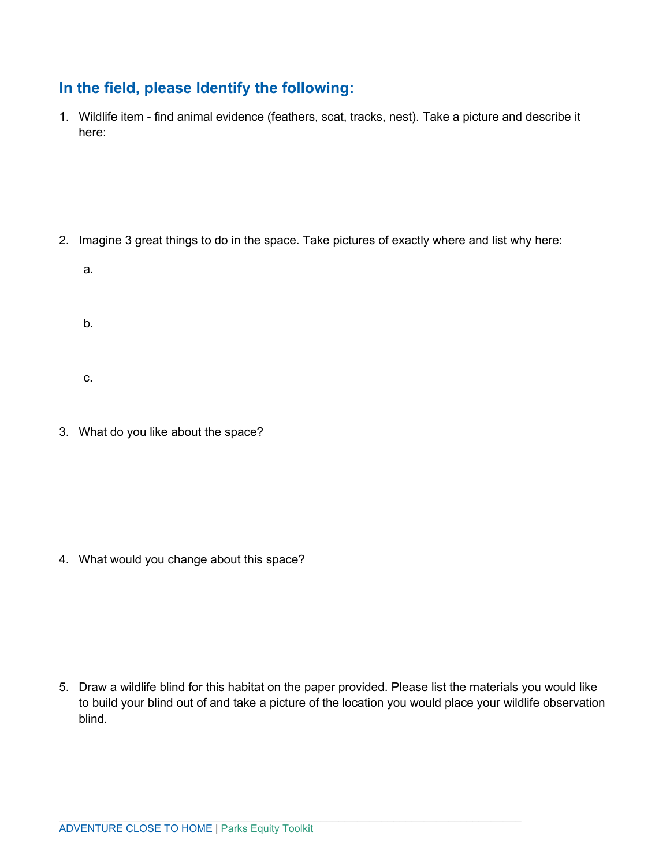# **In the field, please Identify the following:**

1. Wildlife item - find animal evidence (feathers, scat, tracks, nest). Take a picture and describe it here:

- 2. Imagine 3 great things to do in the space. Take pictures of exactly where and list why here:
	- a.
	- b.
	- c.
- 3. What do you like about the space?

4. What would you change about this space?

5. Draw a wildlife blind for this habitat on the paper provided. Please list the materials you would like to build your blind out of and take a picture of the location you would place your wildlife observation blind.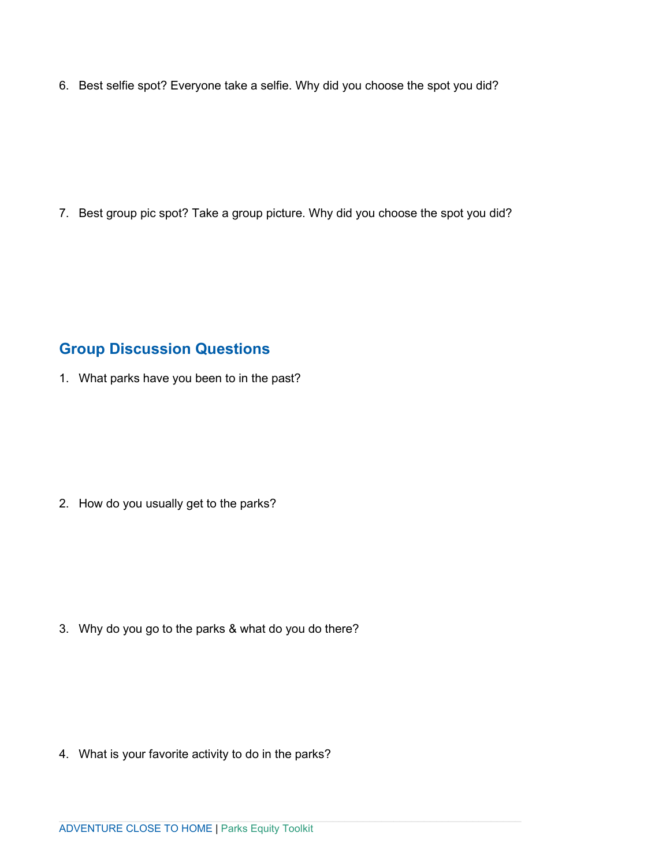6. Best selfie spot? Everyone take a selfie. Why did you choose the spot you did?

7. Best group pic spot? Take a group picture. Why did you choose the spot you did?

## **Group Discussion Questions**

1. What parks have you been to in the past?

2. How do you usually get to the parks?

3. Why do you go to the parks & what do you do there?

4. What is your favorite activity to do in the parks?